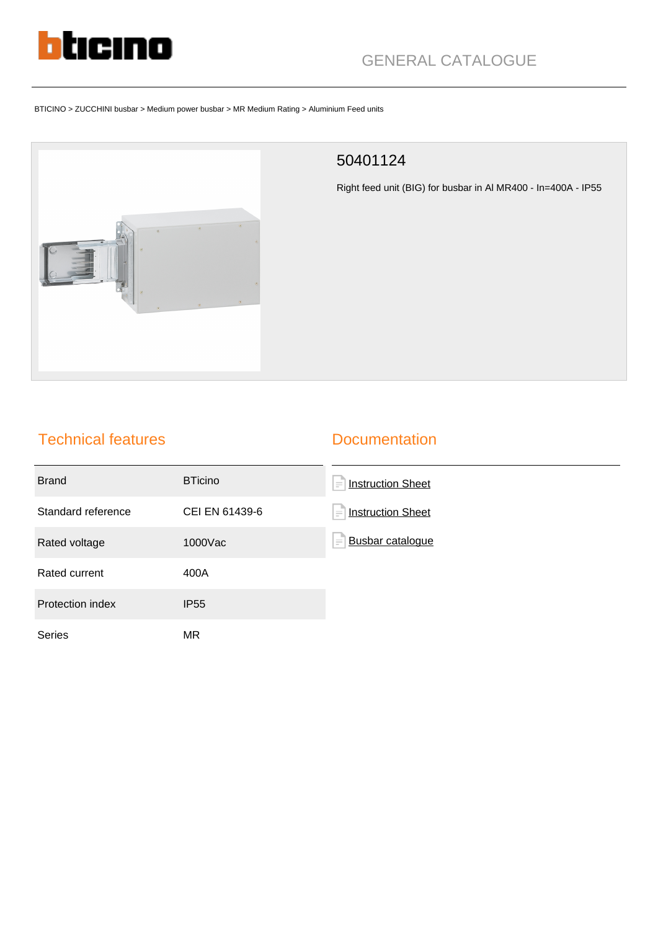

# GENERAL CATALOGUE

#### BTICINO > ZUCCHINI busbar > Medium power busbar > MR Medium Rating > Aluminium Feed units



### 50401124

Right feed unit (BIG) for busbar in Al MR400 - In=400A - IP55

## Technical features

#### **Documentation**

| <b>Brand</b>       | <b>BTicino</b> | <b>Instruction Sheet</b><br>(≡′      |
|--------------------|----------------|--------------------------------------|
| Standard reference | CEI EN 61439-6 | <b>Instruction Sheet</b><br>$\equiv$ |
| Rated voltage      | 1000Vac        | <b>Busbar cataloque</b><br>$\equiv$  |
| Rated current      | 400A           |                                      |
| Protection index   | <b>IP55</b>    |                                      |
| <b>Series</b>      | MR             |                                      |